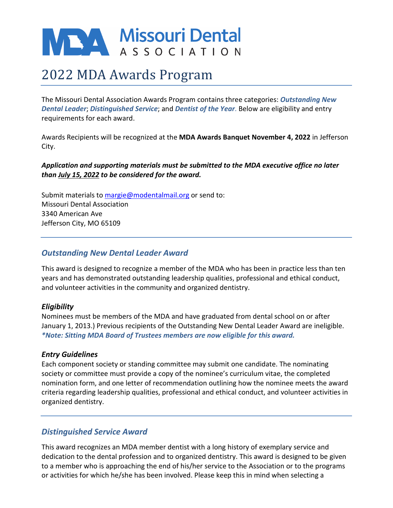# MEXA Missouri Dental

# 2022 MDA Awards Program

The Missouri Dental Association Awards Program contains three categories: *Outstanding New Dental Leader*; *Distinguished Service*; and *Dentist of the Year*. Below are eligibility and entry requirements for each award.

Awards Recipients will be recognized at the **MDA Awards Banquet November 4, 2022** in Jefferson City.

#### *Application and supporting materials must be submitted to the MDA executive office no later than July 15, 2022 to be considered for the award.*

Submit materials to [margie@modentalmail.org](mailto:margie@modentalmail.org) or send to: Missouri Dental Association 3340 American Ave Jefferson City, MO 65109

# *Outstanding New Dental Leader Award*

This award is designed to recognize a member of the MDA who has been in practice less than ten years and has demonstrated outstanding leadership qualities, professional and ethical conduct, and volunteer activities in the community and organized dentistry.

#### *Eligibility*

Nominees must be members of the MDA and have graduated from dental school on or after January 1, 2013.) Previous recipients of the Outstanding New Dental Leader Award are ineligible. *\*Note: Sitting MDA Board of Trustees members are now eligible for this award.*

#### *Entry Guidelines*

Each component society or standing committee may submit one candidate. The nominating society or committee must provide a copy of the nominee's curriculum vitae, the completed nomination form, and one letter of recommendation outlining how the nominee meets the award criteria regarding leadership qualities, professional and ethical conduct, and volunteer activities in organized dentistry.

# *Distinguished Service Award*

This award recognizes an MDA member dentist with a long history of exemplary service and dedication to the dental profession and to organized dentistry. This award is designed to be given to a member who is approaching the end of his/her service to the Association or to the programs or activities for which he/she has been involved. Please keep this in mind when selecting a